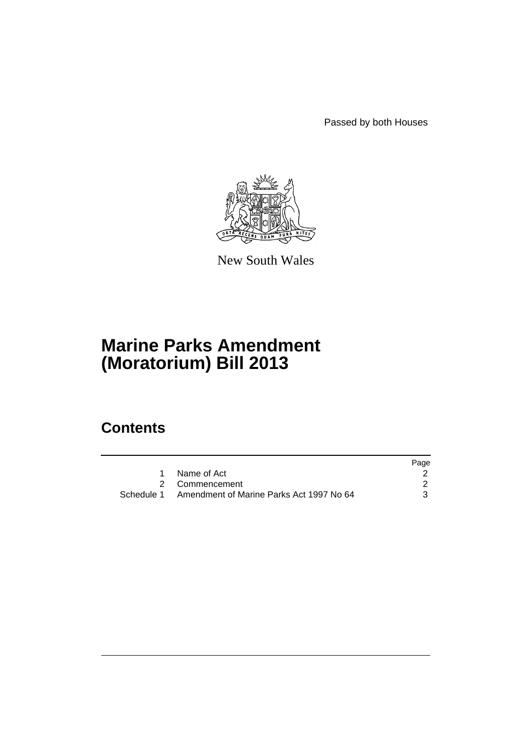Passed by both Houses



New South Wales

# **Marine Parks Amendment (Moratorium) Bill 2013**

### **Contents**

|                                                     | Page |
|-----------------------------------------------------|------|
| Name of Act                                         |      |
| 2 Commencement                                      |      |
| Schedule 1 Amendment of Marine Parks Act 1997 No 64 | 3    |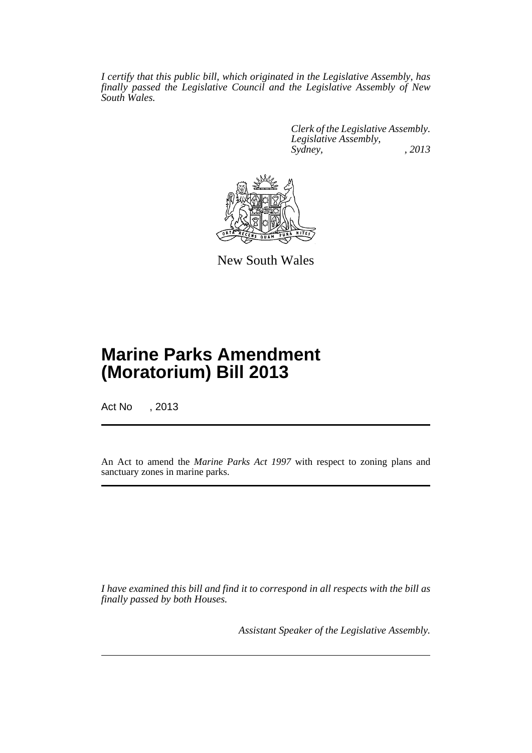*I certify that this public bill, which originated in the Legislative Assembly, has finally passed the Legislative Council and the Legislative Assembly of New South Wales.*

> *Clerk of the Legislative Assembly. Legislative Assembly, Sydney, , 2013*



New South Wales

## **Marine Parks Amendment (Moratorium) Bill 2013**

Act No , 2013

An Act to amend the *Marine Parks Act 1997* with respect to zoning plans and sanctuary zones in marine parks.

*I have examined this bill and find it to correspond in all respects with the bill as finally passed by both Houses.*

*Assistant Speaker of the Legislative Assembly.*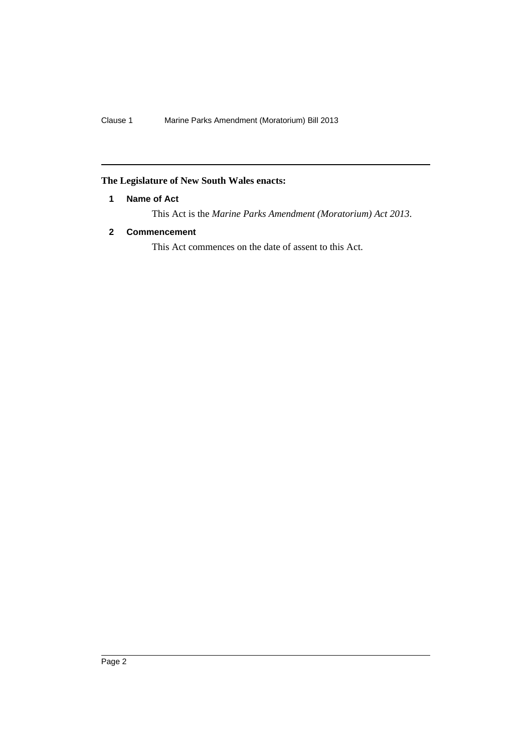#### <span id="page-3-0"></span>**The Legislature of New South Wales enacts:**

#### **1 Name of Act**

This Act is the *Marine Parks Amendment (Moratorium) Act 2013*.

#### <span id="page-3-1"></span>**2 Commencement**

This Act commences on the date of assent to this Act.